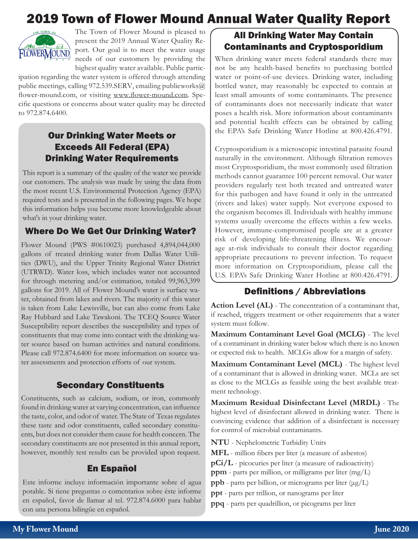# 2019 Town of Flower Mound Annual Water Quality Report



The Town of Flower Mound is pleased to present the 2019 Annual Water Quality Report. Our goal is to meet the water usage needs of our customers by providing the highest quality water available. Public partic-

ipation regarding the water system is offered through attending public meetings, calling 972.539.SERV, emailing publicworks@ flower-mound.com, or visiting www.flower-mound.com. Specific questions or concerns about water quality may be directed to 972.874.6400.

# Our Drinking Water Meets or Exceeds All Federal (EPA) Drinking Water Requirements

This report is a summary of the quality of the water we provide our customers. The analysis was made by using the data from the most recent U.S. Environmental Protection Agency (EPA) required tests and is presented in the following pages. We hope this information helps you become more knowledgeable about what's in your drinking water.

# Where Do We Get Our Drinking Water?

Flower Mound (PWS #0610023) purchased 4,894,044,000 gallons of treated drinking water from Dallas Water Utilities (DWU), and the Upper Trinity Regional Water District (UTRWD). Water loss, which includes water not accounted for through metering and/or estimation, totaled 99,963,399 gallons for 2019. All of Flower Mound's water is surface water, obtained from lakes and rivers. The majority of this water is taken from Lake Lewisville, but can also come from Lake Ray Hubbard and Lake Tawakoni. The TCEQ Source Water Susceptibility report describes the susceptibility and types of constituents that may come into contact with the drinking water source based on human activities and natural conditions. Please call 972.874.6400 for more information on source water assessments and protection efforts of our system.

#### Secondary Constituents

Constituents, such as calcium, sodium, or iron, commonly found in drinking water at varying concentration, can influence the taste, color, and odor of water. The State of Texas regulates these taste and odor constituents, called secondary constituents, but does not consider them cause for health concern. The secondary constituents are not presented in this annual report, however, monthly test results can be provided upon request.

# En Español

Este informe incluye información importante sobre el agua potable. Si tiene preguntas o comentarios sobre éste informe en español, favor de llamar al tel. 972.874.6000 para hablar con una persona bilingüe en español.

# All Drinking Water May Contain Contaminants and Cryptosporidium

When drinking water meets federal standards there may not be any health-based benefits to purchasing bottled water or point-of-use devices. Drinking water, including bottled water, may reasonably be expected to contain at least small amounts of some contaminants. The presence of contaminants does not necessarily indicate that water poses a health risk. More information about contaminants and potential health effects can be obtained by calling the EPA's Safe Drinking Water Hotline at 800.426.4791.

Cryptosporidium is a microscopic intestinal parasite found naturally in the environment. Although filtration removes most Cryptosporidium, the most commonly used filtration methods cannot guarantee 100 percent removal. Our water providers regularly test both treated and untreated water for this pathogen and have found it only in the untreated (rivers and lakes) water supply. Not everyone exposed to the organism becomes ill. Individuals with healthy immune systems usually overcome the effects within a few weeks. However, immune-compromised people are at a greater risk of developing life-threatening illness. We encourage at-risk individuals to consult their doctor regarding appropriate precautions to prevent infection. To request more information on Cryptosporidium, please call the U.S. EPA's Safe Drinking Water Hotline at 800.426.4791.

# Definitions / Abbreviations

**Action Level (AL)** - The concentration of a contaminant that, if reached, triggers treatment or other requirements that a water system must follow.

**Maximum Contaminant Level Goal (MCLG)** - The level of a contaminant in drinking water below which there is no known or expected risk to health. MCLGs allow for a margin of safety.

**Maximum Contaminant Level (MCL)** - The highest level of a contaminant that is allowed in drinking water. MCLs are set as close to the MCLGs as feasible using the best available treatment technology.

**Maximum Residual Disinfectant Level (MRDL)** - The highest level of disinfectant allowed in drinking water. There is convincing evidence that addition of a disinfectant is necessary for control of microbial contaminants.

**NTU** - Nephelometric Turbidity Units

**MFL** - million fibers per liter (a measure of asbestos)

**pCi/L** - picocuries per liter (a measure of radioactivity)

**ppm** - parts per million, or milligrams per liter (mg/L)

**ppb** - parts per billion, or micrograms per liter (μg/L)

**ppt** - parts per trillion, or nanograms per liter

**ppq** - parts per quadrillion, or picograms per liter